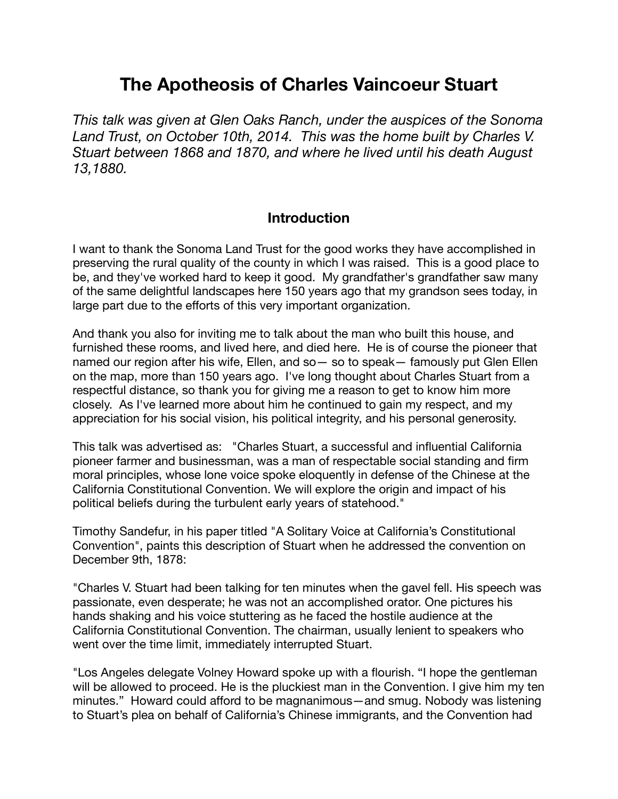# **The Apotheosis of Charles Vaincoeur Stuart**

*This talk was given at Glen Oaks Ranch, under the auspices of the Sonoma Land Trust, on October 10th, 2014. This was the home built by Charles V. Stuart between 1868 and 1870, and where he lived until his death August 13,1880.*

#### **Introduction**

I want to thank the Sonoma Land Trust for the good works they have accomplished in preserving the rural quality of the county in which I was raised. This is a good place to be, and they've worked hard to keep it good. My grandfather's grandfather saw many of the same delightful landscapes here 150 years ago that my grandson sees today, in large part due to the efforts of this very important organization.

And thank you also for inviting me to talk about the man who built this house, and furnished these rooms, and lived here, and died here. He is of course the pioneer that named our region after his wife, Ellen, and so— so to speak— famously put Glen Ellen on the map, more than 150 years ago. I've long thought about Charles Stuart from a respectful distance, so thank you for giving me a reason to get to know him more closely. As I've learned more about him he continued to gain my respect, and my appreciation for his social vision, his political integrity, and his personal generosity.

This talk was advertised as: "Charles Stuart, a successful and influential California pioneer farmer and businessman, was a man of respectable social standing and firm moral principles, whose lone voice spoke eloquently in defense of the Chinese at the California Constitutional Convention. We will explore the origin and impact of his political beliefs during the turbulent early years of statehood."

Timothy Sandefur, in his paper titled "A Solitary Voice at California's Constitutional Convention", paints this description of Stuart when he addressed the convention on December 9th, 1878:

"Charles V. Stuart had been talking for ten minutes when the gavel fell. His speech was passionate, even desperate; he was not an accomplished orator. One pictures his hands shaking and his voice stuttering as he faced the hostile audience at the California Constitutional Convention. The chairman, usually lenient to speakers who went over the time limit, immediately interrupted Stuart.

"Los Angeles delegate Volney Howard spoke up with a flourish. "I hope the gentleman will be allowed to proceed. He is the pluckiest man in the Convention. I give him my ten minutes." Howard could afford to be magnanimous—and smug. Nobody was listening to Stuart's plea on behalf of California's Chinese immigrants, and the Convention had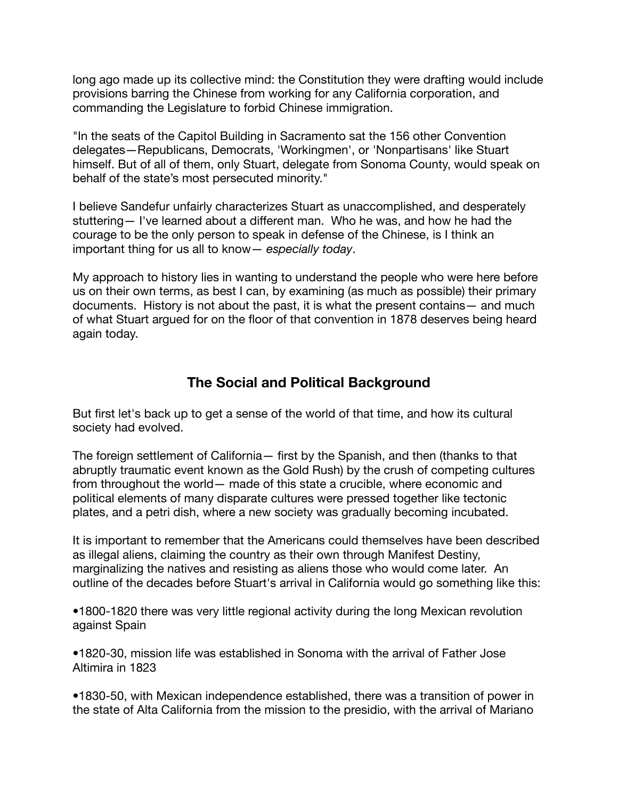long ago made up its collective mind: the Constitution they were drafting would include provisions barring the Chinese from working for any California corporation, and commanding the Legislature to forbid Chinese immigration.

"In the seats of the Capitol Building in Sacramento sat the 156 other Convention delegates—Republicans, Democrats, 'Workingmen', or 'Nonpartisans' like Stuart himself. But of all of them, only Stuart, delegate from Sonoma County, would speak on behalf of the state's most persecuted minority."

I believe Sandefur unfairly characterizes Stuart as unaccomplished, and desperately stuttering— I've learned about a different man. Who he was, and how he had the courage to be the only person to speak in defense of the Chinese, is I think an important thing for us all to know— *especially today*.

My approach to history lies in wanting to understand the people who were here before us on their own terms, as best I can, by examining (as much as possible) their primary documents. History is not about the past, it is what the present contains— and much of what Stuart argued for on the floor of that convention in 1878 deserves being heard again today.

# **The Social and Political Background**

But first let's back up to get a sense of the world of that time, and how its cultural society had evolved.

The foreign settlement of California— first by the Spanish, and then (thanks to that abruptly traumatic event known as the Gold Rush) by the crush of competing cultures from throughout the world— made of this state a crucible, where economic and political elements of many disparate cultures were pressed together like tectonic plates, and a petri dish, where a new society was gradually becoming incubated.

It is important to remember that the Americans could themselves have been described as illegal aliens, claiming the country as their own through Manifest Destiny, marginalizing the natives and resisting as aliens those who would come later. An outline of the decades before Stuart's arrival in California would go something like this:

•1800-1820 there was very little regional activity during the long Mexican revolution against Spain

•1820-30, mission life was established in Sonoma with the arrival of Father Jose Altimira in 1823

•1830-50, with Mexican independence established, there was a transition of power in the state of Alta California from the mission to the presidio, with the arrival of Mariano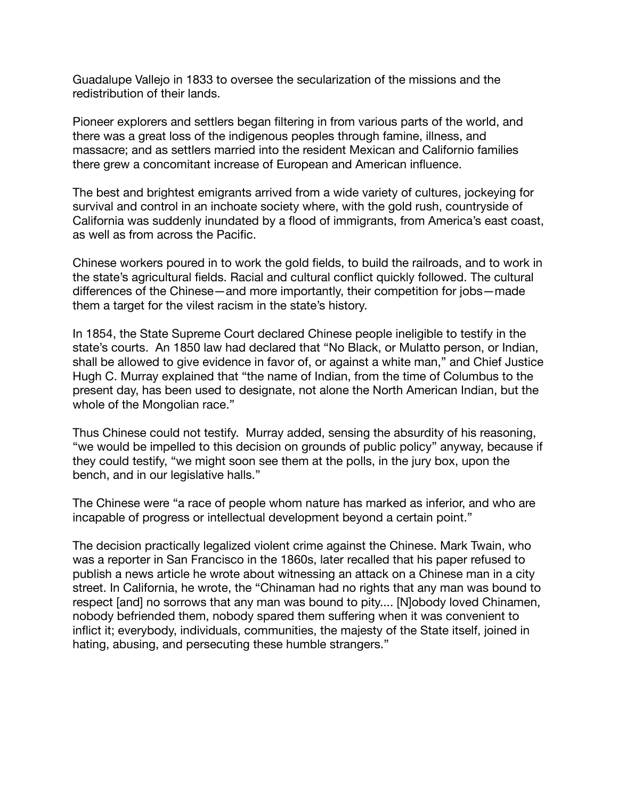Guadalupe Vallejo in 1833 to oversee the secularization of the missions and the redistribution of their lands.

Pioneer explorers and settlers began filtering in from various parts of the world, and there was a great loss of the indigenous peoples through famine, illness, and massacre; and as settlers married into the resident Mexican and Californio families there grew a concomitant increase of European and American influence.

The best and brightest emigrants arrived from a wide variety of cultures, jockeying for survival and control in an inchoate society where, with the gold rush, countryside of California was suddenly inundated by a flood of immigrants, from America's east coast, as well as from across the Pacific.

Chinese workers poured in to work the gold fields, to build the railroads, and to work in the state's agricultural fields. Racial and cultural conflict quickly followed. The cultural differences of the Chinese—and more importantly, their competition for jobs—made them a target for the vilest racism in the state's history.

In 1854, the State Supreme Court declared Chinese people ineligible to testify in the state's courts. An 1850 law had declared that "No Black, or Mulatto person, or Indian, shall be allowed to give evidence in favor of, or against a white man," and Chief Justice Hugh C. Murray explained that "the name of Indian, from the time of Columbus to the present day, has been used to designate, not alone the North American Indian, but the whole of the Mongolian race."

Thus Chinese could not testify. Murray added, sensing the absurdity of his reasoning, "we would be impelled to this decision on grounds of public policy" anyway, because if they could testify, "we might soon see them at the polls, in the jury box, upon the bench, and in our legislative halls."

The Chinese were "a race of people whom nature has marked as inferior, and who are incapable of progress or intellectual development beyond a certain point."

The decision practically legalized violent crime against the Chinese. Mark Twain, who was a reporter in San Francisco in the 1860s, later recalled that his paper refused to publish a news article he wrote about witnessing an attack on a Chinese man in a city street. In California, he wrote, the "Chinaman had no rights that any man was bound to respect [and] no sorrows that any man was bound to pity.... [N]obody loved Chinamen, nobody befriended them, nobody spared them suffering when it was convenient to inflict it; everybody, individuals, communities, the majesty of the State itself, joined in hating, abusing, and persecuting these humble strangers."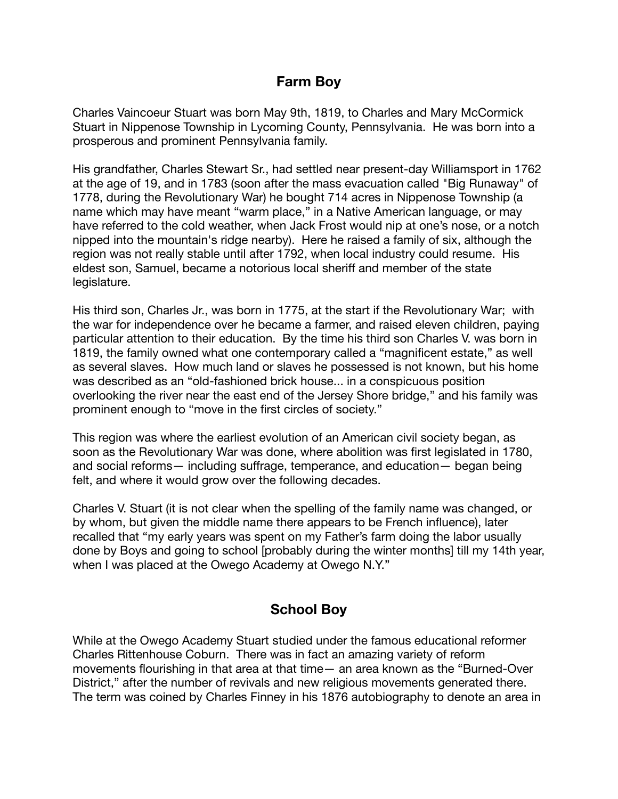# **Farm Boy**

Charles Vaincoeur Stuart was born May 9th, 1819, to Charles and Mary McCormick Stuart in Nippenose Township in Lycoming County, Pennsylvania. He was born into a prosperous and prominent Pennsylvania family.

His grandfather, Charles Stewart Sr., had settled near present-day Williamsport in 1762 at the age of 19, and in 1783 (soon after the mass evacuation called "Big Runaway" of 1778, during the Revolutionary War) he bought 714 acres in Nippenose Township (a name which may have meant "warm place," in a Native American language, or may have referred to the cold weather, when Jack Frost would nip at one's nose, or a notch nipped into the mountain's ridge nearby). Here he raised a family of six, although the region was not really stable until after 1792, when local industry could resume. His eldest son, Samuel, became a notorious local sheriff and member of the state legislature.

His third son, Charles Jr., was born in 1775, at the start if the Revolutionary War; with the war for independence over he became a farmer, and raised eleven children, paying particular attention to their education. By the time his third son Charles V. was born in 1819, the family owned what one contemporary called a "magnificent estate," as well as several slaves. How much land or slaves he possessed is not known, but his home was described as an "old-fashioned brick house... in a conspicuous position overlooking the river near the east end of the Jersey Shore bridge," and his family was prominent enough to "move in the first circles of society."

This region was where the earliest evolution of an American civil society began, as soon as the Revolutionary War was done, where abolition was first legislated in 1780, and social reforms— including suffrage, temperance, and education— began being felt, and where it would grow over the following decades.

Charles V. Stuart (it is not clear when the spelling of the family name was changed, or by whom, but given the middle name there appears to be French influence), later recalled that "my early years was spent on my Father's farm doing the labor usually done by Boys and going to school [probably during the winter months] till my 14th year, when I was placed at the Owego Academy at Owego N.Y."

# **School Boy**

While at the Owego Academy Stuart studied under the famous educational reformer Charles Rittenhouse Coburn. There was in fact an amazing variety of reform movements flourishing in that area at that time— an area known as the "Burned-Over District," after the number of revivals and new religious movements generated there. The term was coined by Charles Finney in his 1876 autobiography to denote an area in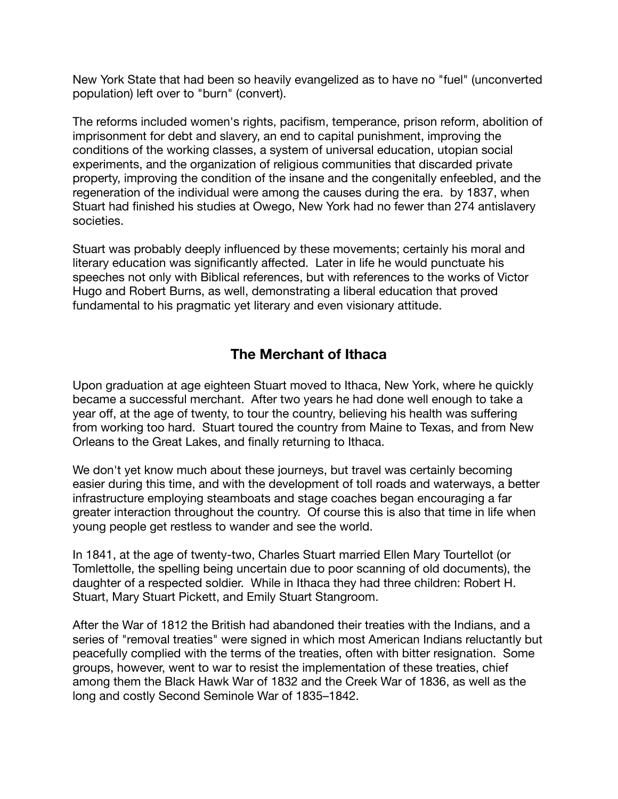New York State that had been so heavily evangelized as to have no "fuel" (unconverted population) left over to "burn" (convert).

The reforms included women's rights, pacifism, temperance, prison reform, abolition of imprisonment for debt and slavery, an end to capital punishment, improving the conditions of the working classes, a system of universal education, utopian social experiments, and the organization of religious communities that discarded private property, improving the condition of the insane and the congenitally enfeebled, and the regeneration of the individual were among the causes during the era. by 1837, when Stuart had finished his studies at Owego, New York had no fewer than 274 antislavery societies.

Stuart was probably deeply influenced by these movements; certainly his moral and literary education was significantly affected. Later in life he would punctuate his speeches not only with Biblical references, but with references to the works of Victor Hugo and Robert Burns, as well, demonstrating a liberal education that proved fundamental to his pragmatic yet literary and even visionary attitude.

# **The Merchant of Ithaca**

Upon graduation at age eighteen Stuart moved to Ithaca, New York, where he quickly became a successful merchant. After two years he had done well enough to take a year off, at the age of twenty, to tour the country, believing his health was suffering from working too hard. Stuart toured the country from Maine to Texas, and from New Orleans to the Great Lakes, and finally returning to Ithaca.

We don't yet know much about these journeys, but travel was certainly becoming easier during this time, and with the development of toll roads and waterways, a better infrastructure employing steamboats and stage coaches began encouraging a far greater interaction throughout the country. Of course this is also that time in life when young people get restless to wander and see the world.

In 1841, at the age of twenty-two, Charles Stuart married Ellen Mary Tourtellot (or Tomlettolle, the spelling being uncertain due to poor scanning of old documents), the daughter of a respected soldier. While in Ithaca they had three children: Robert H. Stuart, Mary Stuart Pickett, and Emily Stuart Stangroom.

After the War of 1812 the British had abandoned their treaties with the Indians, and a series of "removal treaties" were signed in which most American Indians reluctantly but peacefully complied with the terms of the treaties, often with bitter resignation. Some groups, however, went to war to resist the implementation of these treaties, chief among them the Black Hawk War of 1832 and the Creek War of 1836, as well as the long and costly Second Seminole War of 1835–1842.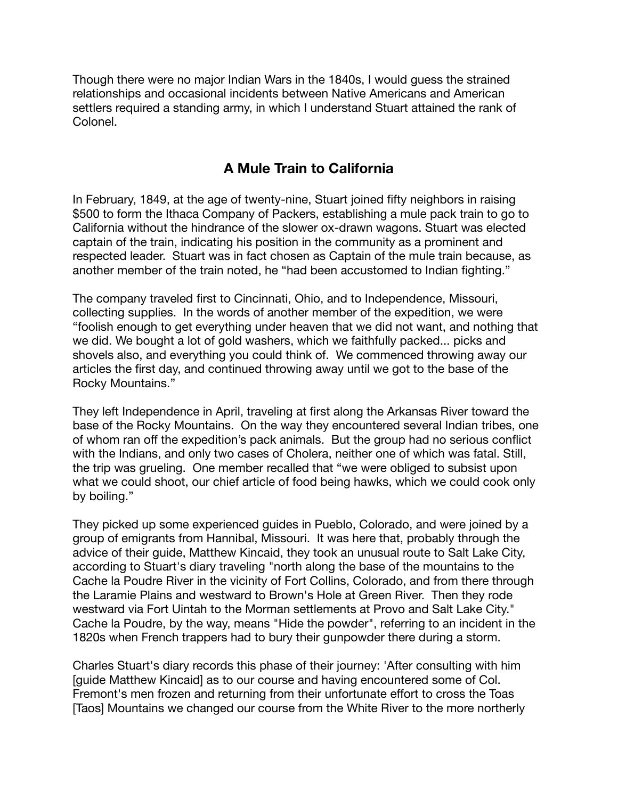Though there were no major Indian Wars in the 1840s, I would guess the strained relationships and occasional incidents between Native Americans and American settlers required a standing army, in which I understand Stuart attained the rank of Colonel.

# **A Mule Train to California**

In February, 1849, at the age of twenty-nine, Stuart joined fifty neighbors in raising \$500 to form the Ithaca Company of Packers, establishing a mule pack train to go to California without the hindrance of the slower ox-drawn wagons. Stuart was elected captain of the train, indicating his position in the community as a prominent and respected leader. Stuart was in fact chosen as Captain of the mule train because, as another member of the train noted, he "had been accustomed to Indian fighting."

The company traveled first to Cincinnati, Ohio, and to Independence, Missouri, collecting supplies. In the words of another member of the expedition, we were "foolish enough to get everything under heaven that we did not want, and nothing that we did. We bought a lot of gold washers, which we faithfully packed... picks and shovels also, and everything you could think of. We commenced throwing away our articles the first day, and continued throwing away until we got to the base of the Rocky Mountains."

They left Independence in April, traveling at first along the Arkansas River toward the base of the Rocky Mountains. On the way they encountered several Indian tribes, one of whom ran off the expedition's pack animals. But the group had no serious conflict with the Indians, and only two cases of Cholera, neither one of which was fatal. Still, the trip was grueling. One member recalled that "we were obliged to subsist upon what we could shoot, our chief article of food being hawks, which we could cook only by boiling."

They picked up some experienced guides in Pueblo, Colorado, and were joined by a group of emigrants from Hannibal, Missouri. It was here that, probably through the advice of their guide, Matthew Kincaid, they took an unusual route to Salt Lake City, according to Stuart's diary traveling "north along the base of the mountains to the Cache la Poudre River in the vicinity of Fort Collins, Colorado, and from there through the Laramie Plains and westward to Brown's Hole at Green River. Then they rode westward via Fort Uintah to the Morman settlements at Provo and Salt Lake City." Cache la Poudre, by the way, means "Hide the powder", referring to an incident in the 1820s when French trappers had to bury their gunpowder there during a storm.

Charles Stuart's diary records this phase of their journey: 'After consulting with him [guide Matthew Kincaid] as to our course and having encountered some of Col. Fremont's men frozen and returning from their unfortunate effort to cross the Toas [Taos] Mountains we changed our course from the White River to the more northerly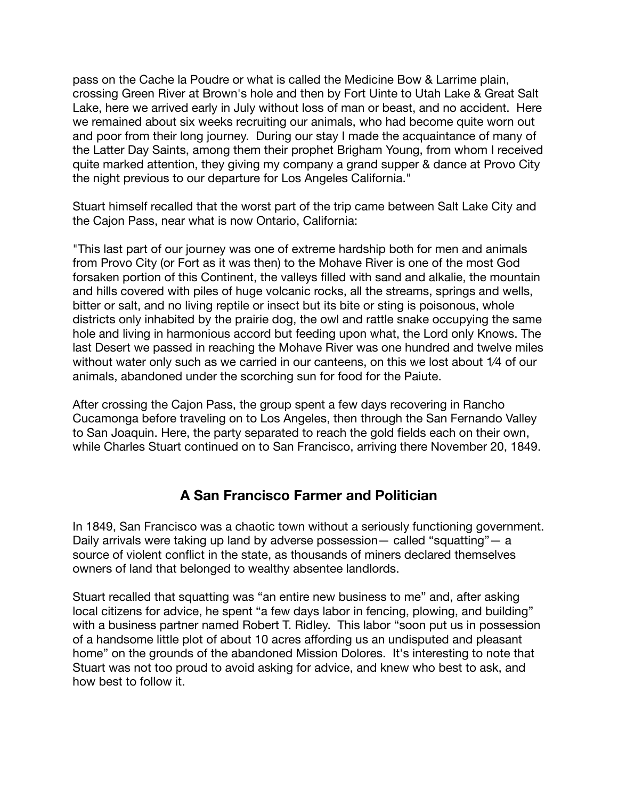pass on the Cache la Poudre or what is called the Medicine Bow & Larrime plain, crossing Green River at Brown's hole and then by Fort Uinte to Utah Lake & Great Salt Lake, here we arrived early in July without loss of man or beast, and no accident. Here we remained about six weeks recruiting our animals, who had become quite worn out and poor from their long journey. During our stay I made the acquaintance of many of the Latter Day Saints, among them their prophet Brigham Young, from whom I received quite marked attention, they giving my company a grand supper & dance at Provo City the night previous to our departure for Los Angeles California."

Stuart himself recalled that the worst part of the trip came between Salt Lake City and the Cajon Pass, near what is now Ontario, California:

"This last part of our journey was one of extreme hardship both for men and animals from Provo City (or Fort as it was then) to the Mohave River is one of the most God forsaken portion of this Continent, the valleys filled with sand and alkalie, the mountain and hills covered with piles of huge volcanic rocks, all the streams, springs and wells, bitter or salt, and no living reptile or insect but its bite or sting is poisonous, whole districts only inhabited by the prairie dog, the owl and rattle snake occupying the same hole and living in harmonious accord but feeding upon what, the Lord only Knows. The last Desert we passed in reaching the Mohave River was one hundred and twelve miles without water only such as we carried in our canteens, on this we lost about 1⁄4 of our animals, abandoned under the scorching sun for food for the Paiute.

After crossing the Cajon Pass, the group spent a few days recovering in Rancho Cucamonga before traveling on to Los Angeles, then through the San Fernando Valley to San Joaquin. Here, the party separated to reach the gold fields each on their own, while Charles Stuart continued on to San Francisco, arriving there November 20, 1849.

# **A San Francisco Farmer and Politician**

In 1849, San Francisco was a chaotic town without a seriously functioning government. Daily arrivals were taking up land by adverse possession— called "squatting"— a source of violent conflict in the state, as thousands of miners declared themselves owners of land that belonged to wealthy absentee landlords.

Stuart recalled that squatting was "an entire new business to me" and, after asking local citizens for advice, he spent "a few days labor in fencing, plowing, and building" with a business partner named Robert T. Ridley. This labor "soon put us in possession of a handsome little plot of about 10 acres affording us an undisputed and pleasant home" on the grounds of the abandoned Mission Dolores. It's interesting to note that Stuart was not too proud to avoid asking for advice, and knew who best to ask, and how best to follow it.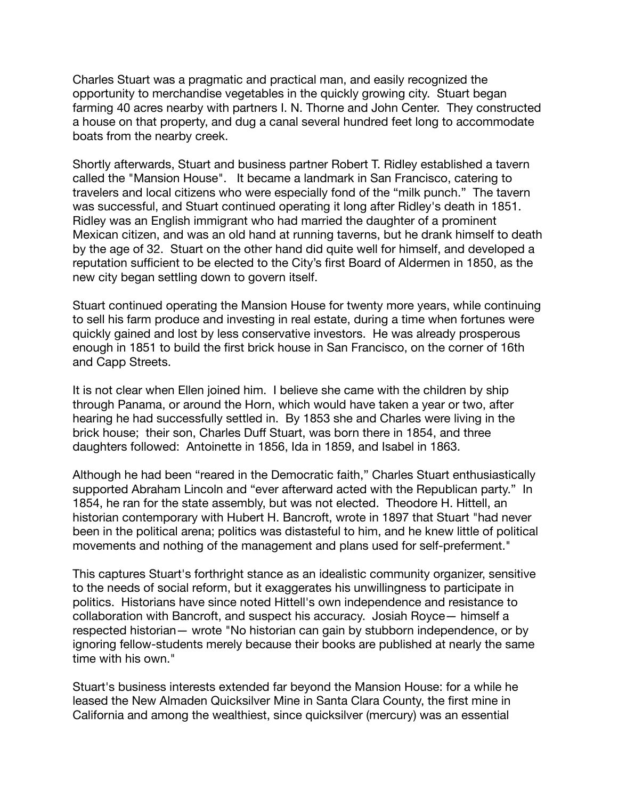Charles Stuart was a pragmatic and practical man, and easily recognized the opportunity to merchandise vegetables in the quickly growing city. Stuart began farming 40 acres nearby with partners I. N. Thorne and John Center. They constructed a house on that property, and dug a canal several hundred feet long to accommodate boats from the nearby creek.

Shortly afterwards, Stuart and business partner Robert T. Ridley established a tavern called the "Mansion House". It became a landmark in San Francisco, catering to travelers and local citizens who were especially fond of the "milk punch." The tavern was successful, and Stuart continued operating it long after Ridley's death in 1851. Ridley was an English immigrant who had married the daughter of a prominent Mexican citizen, and was an old hand at running taverns, but he drank himself to death by the age of 32. Stuart on the other hand did quite well for himself, and developed a reputation sufficient to be elected to the City's first Board of Aldermen in 1850, as the new city began settling down to govern itself.

Stuart continued operating the Mansion House for twenty more years, while continuing to sell his farm produce and investing in real estate, during a time when fortunes were quickly gained and lost by less conservative investors. He was already prosperous enough in 1851 to build the first brick house in San Francisco, on the corner of 16th and Capp Streets.

It is not clear when Ellen joined him. I believe she came with the children by ship through Panama, or around the Horn, which would have taken a year or two, after hearing he had successfully settled in. By 1853 she and Charles were living in the brick house; their son, Charles Duff Stuart, was born there in 1854, and three daughters followed: Antoinette in 1856, Ida in 1859, and Isabel in 1863.

Although he had been "reared in the Democratic faith," Charles Stuart enthusiastically supported Abraham Lincoln and "ever afterward acted with the Republican party." In 1854, he ran for the state assembly, but was not elected. Theodore H. Hittell, an historian contemporary with Hubert H. Bancroft, wrote in 1897 that Stuart "had never been in the political arena; politics was distasteful to him, and he knew little of political movements and nothing of the management and plans used for self-preferment."

This captures Stuart's forthright stance as an idealistic community organizer, sensitive to the needs of social reform, but it exaggerates his unwillingness to participate in politics. Historians have since noted Hittell's own independence and resistance to collaboration with Bancroft, and suspect his accuracy. Josiah Royce— himself a respected historian— wrote "No historian can gain by stubborn independence, or by ignoring fellow-students merely because their books are published at nearly the same time with his own."

Stuart's business interests extended far beyond the Mansion House: for a while he leased the New Almaden Quicksilver Mine in Santa Clara County, the first mine in California and among the wealthiest, since quicksilver (mercury) was an essential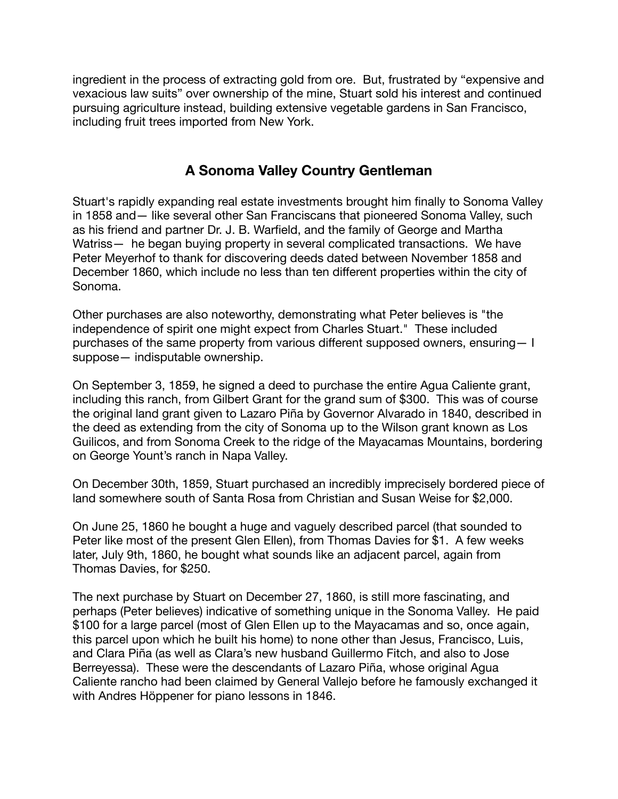ingredient in the process of extracting gold from ore. But, frustrated by "expensive and vexacious law suits" over ownership of the mine, Stuart sold his interest and continued pursuing agriculture instead, building extensive vegetable gardens in San Francisco, including fruit trees imported from New York.

#### **A Sonoma Valley Country Gentleman**

Stuart's rapidly expanding real estate investments brought him finally to Sonoma Valley in 1858 and— like several other San Franciscans that pioneered Sonoma Valley, such as his friend and partner Dr. J. B. Warfield, and the family of George and Martha Watriss— he began buying property in several complicated transactions. We have Peter Meyerhof to thank for discovering deeds dated between November 1858 and December 1860, which include no less than ten different properties within the city of Sonoma.

Other purchases are also noteworthy, demonstrating what Peter believes is "the independence of spirit one might expect from Charles Stuart." These included purchases of the same property from various different supposed owners, ensuring— I suppose— indisputable ownership.

On September 3, 1859, he signed a deed to purchase the entire Agua Caliente grant, including this ranch, from Gilbert Grant for the grand sum of \$300. This was of course the original land grant given to Lazaro Piña by Governor Alvarado in 1840, described in the deed as extending from the city of Sonoma up to the Wilson grant known as Los Guilicos, and from Sonoma Creek to the ridge of the Mayacamas Mountains, bordering on George Yount's ranch in Napa Valley.

On December 30th, 1859, Stuart purchased an incredibly imprecisely bordered piece of land somewhere south of Santa Rosa from Christian and Susan Weise for \$2,000.

On June 25, 1860 he bought a huge and vaguely described parcel (that sounded to Peter like most of the present Glen Ellen), from Thomas Davies for \$1. A few weeks later, July 9th, 1860, he bought what sounds like an adjacent parcel, again from Thomas Davies, for \$250.

The next purchase by Stuart on December 27, 1860, is still more fascinating, and perhaps (Peter believes) indicative of something unique in the Sonoma Valley. He paid \$100 for a large parcel (most of Glen Ellen up to the Mayacamas and so, once again, this parcel upon which he built his home) to none other than Jesus, Francisco, Luis, and Clara Piña (as well as Clara's new husband Guillermo Fitch, and also to Jose Berreyessa). These were the descendants of Lazaro Piña, whose original Agua Caliente rancho had been claimed by General Vallejo before he famously exchanged it with Andres Höppener for piano lessons in 1846.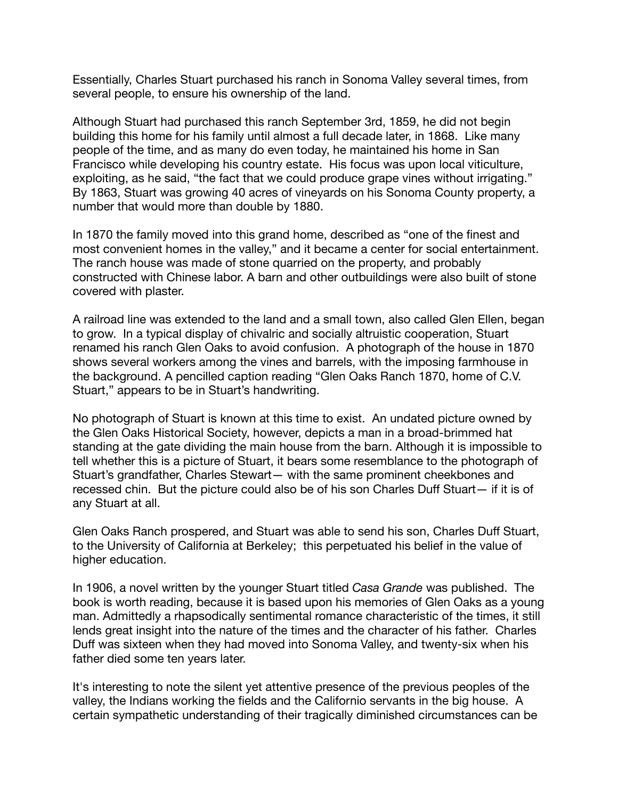Essentially, Charles Stuart purchased his ranch in Sonoma Valley several times, from several people, to ensure his ownership of the land.

Although Stuart had purchased this ranch September 3rd, 1859, he did not begin building this home for his family until almost a full decade later, in 1868. Like many people of the time, and as many do even today, he maintained his home in San Francisco while developing his country estate. His focus was upon local viticulture, exploiting, as he said, "the fact that we could produce grape vines without irrigating." By 1863, Stuart was growing 40 acres of vineyards on his Sonoma County property, a number that would more than double by 1880.

In 1870 the family moved into this grand home, described as "one of the finest and most convenient homes in the valley," and it became a center for social entertainment. The ranch house was made of stone quarried on the property, and probably constructed with Chinese labor. A barn and other outbuildings were also built of stone covered with plaster.

A railroad line was extended to the land and a small town, also called Glen Ellen, began to grow. In a typical display of chivalric and socially altruistic cooperation, Stuart renamed his ranch Glen Oaks to avoid confusion. A photograph of the house in 1870 shows several workers among the vines and barrels, with the imposing farmhouse in the background. A pencilled caption reading "Glen Oaks Ranch 1870, home of C.V. Stuart," appears to be in Stuart's handwriting.

No photograph of Stuart is known at this time to exist. An undated picture owned by the Glen Oaks Historical Society, however, depicts a man in a broad-brimmed hat standing at the gate dividing the main house from the barn. Although it is impossible to tell whether this is a picture of Stuart, it bears some resemblance to the photograph of Stuart's grandfather, Charles Stewart— with the same prominent cheekbones and recessed chin. But the picture could also be of his son Charles Duff Stuart— if it is of any Stuart at all.

Glen Oaks Ranch prospered, and Stuart was able to send his son, Charles Duff Stuart, to the University of California at Berkeley; this perpetuated his belief in the value of higher education.

In 1906, a novel written by the younger Stuart titled *Casa Grande* was published. The book is worth reading, because it is based upon his memories of Glen Oaks as a young man. Admittedly a rhapsodically sentimental romance characteristic of the times, it still lends great insight into the nature of the times and the character of his father. Charles Duff was sixteen when they had moved into Sonoma Valley, and twenty-six when his father died some ten years later.

It's interesting to note the silent yet attentive presence of the previous peoples of the valley, the Indians working the fields and the Californio servants in the big house. A certain sympathetic understanding of their tragically diminished circumstances can be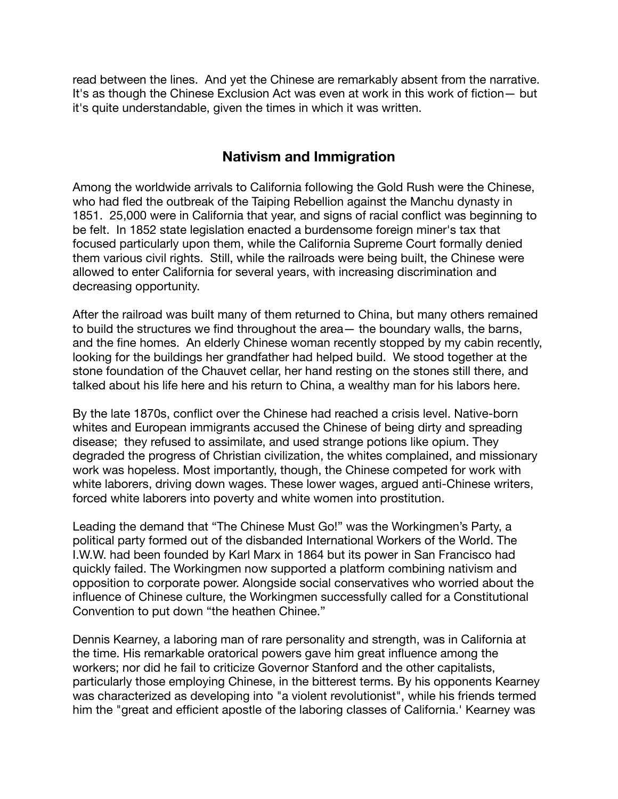read between the lines. And yet the Chinese are remarkably absent from the narrative. It's as though the Chinese Exclusion Act was even at work in this work of fiction— but it's quite understandable, given the times in which it was written.

# **Nativism and Immigration**

Among the worldwide arrivals to California following the Gold Rush were the Chinese, who had fled the outbreak of the Taiping Rebellion against the Manchu dynasty in 1851. 25,000 were in California that year, and signs of racial conflict was beginning to be felt. In 1852 state legislation enacted a burdensome foreign miner's tax that focused particularly upon them, while the California Supreme Court formally denied them various civil rights. Still, while the railroads were being built, the Chinese were allowed to enter California for several years, with increasing discrimination and decreasing opportunity.

After the railroad was built many of them returned to China, but many others remained to build the structures we find throughout the area— the boundary walls, the barns, and the fine homes. An elderly Chinese woman recently stopped by my cabin recently, looking for the buildings her grandfather had helped build. We stood together at the stone foundation of the Chauvet cellar, her hand resting on the stones still there, and talked about his life here and his return to China, a wealthy man for his labors here.

By the late 1870s, conflict over the Chinese had reached a crisis level. Native-born whites and European immigrants accused the Chinese of being dirty and spreading disease; they refused to assimilate, and used strange potions like opium. They degraded the progress of Christian civilization, the whites complained, and missionary work was hopeless. Most importantly, though, the Chinese competed for work with white laborers, driving down wages. These lower wages, argued anti-Chinese writers, forced white laborers into poverty and white women into prostitution.

Leading the demand that "The Chinese Must Go!" was the Workingmen's Party, a political party formed out of the disbanded International Workers of the World. The I.W.W. had been founded by Karl Marx in 1864 but its power in San Francisco had quickly failed. The Workingmen now supported a platform combining nativism and opposition to corporate power. Alongside social conservatives who worried about the influence of Chinese culture, the Workingmen successfully called for a Constitutional Convention to put down "the heathen Chinee."

Dennis Kearney, a laboring man of rare personality and strength, was in California at the time. His remarkable oratorical powers gave him great influence among the workers; nor did he fail to criticize Governor Stanford and the other capitalists, particularly those employing Chinese, in the bitterest terms. By his opponents Kearney was characterized as developing into "a violent revolutionist", while his friends termed him the "great and efficient apostle of the laboring classes of California.' Kearney was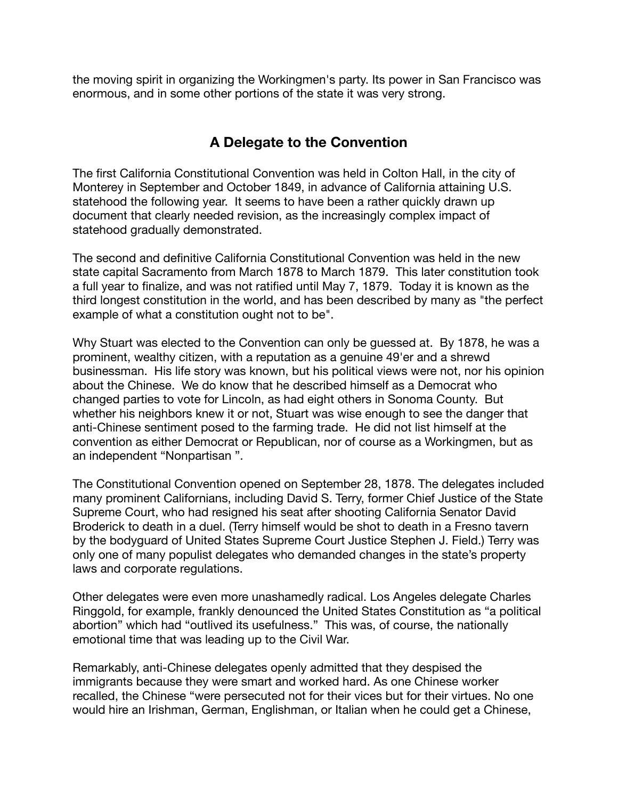the moving spirit in organizing the Workingmen's party. Its power in San Francisco was enormous, and in some other portions of the state it was very strong.

# **A Delegate to the Convention**

The first California Constitutional Convention was held in Colton Hall, in the city of Monterey in September and October 1849, in advance of California attaining U.S. statehood the following year. It seems to have been a rather quickly drawn up document that clearly needed revision, as the increasingly complex impact of statehood gradually demonstrated.

The second and definitive California Constitutional Convention was held in the new state capital Sacramento from March 1878 to March 1879. This later constitution took a full year to finalize, and was not ratified until May 7, 1879. Today it is known as the third longest constitution in the world, and has been described by many as "the perfect example of what a constitution ought not to be".

Why Stuart was elected to the Convention can only be guessed at. By 1878, he was a prominent, wealthy citizen, with a reputation as a genuine 49'er and a shrewd businessman. His life story was known, but his political views were not, nor his opinion about the Chinese. We do know that he described himself as a Democrat who changed parties to vote for Lincoln, as had eight others in Sonoma County. But whether his neighbors knew it or not, Stuart was wise enough to see the danger that anti-Chinese sentiment posed to the farming trade. He did not list himself at the convention as either Democrat or Republican, nor of course as a Workingmen, but as an independent "Nonpartisan ".

The Constitutional Convention opened on September 28, 1878. The delegates included many prominent Californians, including David S. Terry, former Chief Justice of the State Supreme Court, who had resigned his seat after shooting California Senator David Broderick to death in a duel. (Terry himself would be shot to death in a Fresno tavern by the bodyguard of United States Supreme Court Justice Stephen J. Field.) Terry was only one of many populist delegates who demanded changes in the state's property laws and corporate regulations.

Other delegates were even more unashamedly radical. Los Angeles delegate Charles Ringgold, for example, frankly denounced the United States Constitution as "a political abortion" which had "outlived its usefulness." This was, of course, the nationally emotional time that was leading up to the Civil War.

Remarkably, anti-Chinese delegates openly admitted that they despised the immigrants because they were smart and worked hard. As one Chinese worker recalled, the Chinese "were persecuted not for their vices but for their virtues. No one would hire an Irishman, German, Englishman, or Italian when he could get a Chinese,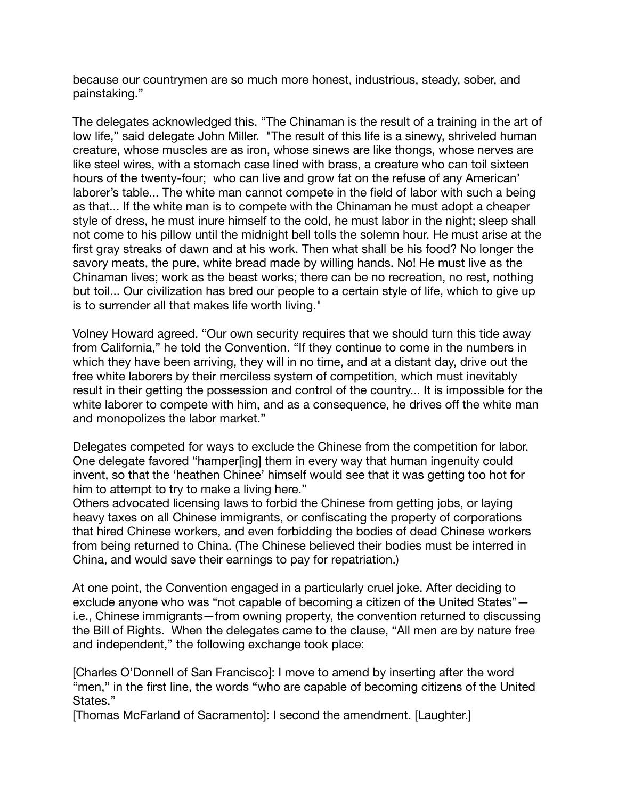because our countrymen are so much more honest, industrious, steady, sober, and painstaking."

The delegates acknowledged this. "The Chinaman is the result of a training in the art of low life," said delegate John Miller. "The result of this life is a sinewy, shriveled human creature, whose muscles are as iron, whose sinews are like thongs, whose nerves are like steel wires, with a stomach case lined with brass, a creature who can toil sixteen hours of the twenty-four; who can live and grow fat on the refuse of any American' laborer's table... The white man cannot compete in the field of labor with such a being as that... If the white man is to compete with the Chinaman he must adopt a cheaper style of dress, he must inure himself to the cold, he must labor in the night; sleep shall not come to his pillow until the midnight bell tolls the solemn hour. He must arise at the first gray streaks of dawn and at his work. Then what shall be his food? No longer the savory meats, the pure, white bread made by willing hands. No! He must live as the Chinaman lives; work as the beast works; there can be no recreation, no rest, nothing but toil... Our civilization has bred our people to a certain style of life, which to give up is to surrender all that makes life worth living."

Volney Howard agreed. "Our own security requires that we should turn this tide away from California," he told the Convention. "If they continue to come in the numbers in which they have been arriving, they will in no time, and at a distant day, drive out the free white laborers by their merciless system of competition, which must inevitably result in their getting the possession and control of the country... It is impossible for the white laborer to compete with him, and as a consequence, he drives off the white man and monopolizes the labor market."

Delegates competed for ways to exclude the Chinese from the competition for labor. One delegate favored "hamper[ing] them in every way that human ingenuity could invent, so that the 'heathen Chinee' himself would see that it was getting too hot for him to attempt to try to make a living here."

Others advocated licensing laws to forbid the Chinese from getting jobs, or laying heavy taxes on all Chinese immigrants, or confiscating the property of corporations that hired Chinese workers, and even forbidding the bodies of dead Chinese workers from being returned to China. (The Chinese believed their bodies must be interred in China, and would save their earnings to pay for repatriation.)

At one point, the Convention engaged in a particularly cruel joke. After deciding to exclude anyone who was "not capable of becoming a citizen of the United States" i.e., Chinese immigrants—from owning property, the convention returned to discussing the Bill of Rights. When the delegates came to the clause, "All men are by nature free and independent," the following exchange took place:

[Charles O'Donnell of San Francisco]: I move to amend by inserting after the word "men," in the first line, the words "who are capable of becoming citizens of the United States."

[Thomas McFarland of Sacramento]: I second the amendment. [Laughter.]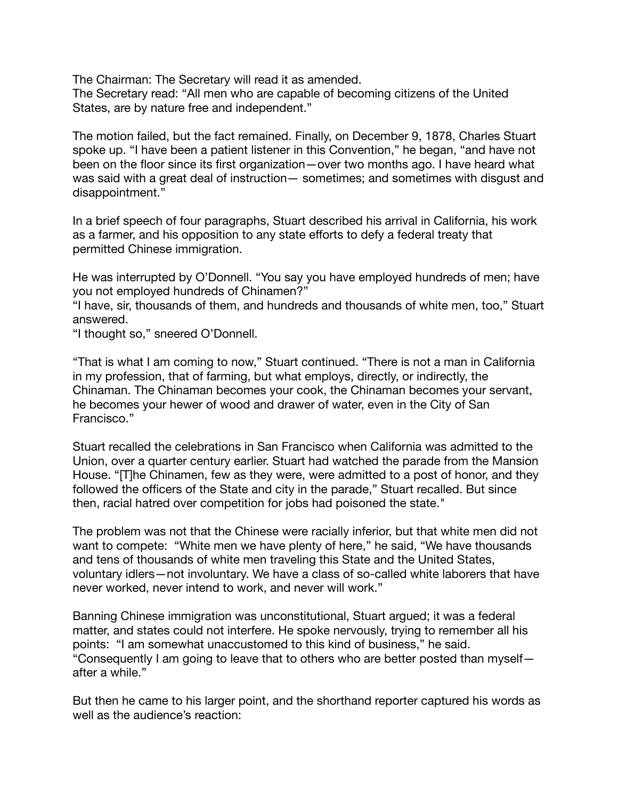The Chairman: The Secretary will read it as amended. The Secretary read: "All men who are capable of becoming citizens of the United States, are by nature free and independent."

The motion failed, but the fact remained. Finally, on December 9, 1878, Charles Stuart spoke up. "I have been a patient listener in this Convention," he began, "and have not been on the floor since its first organization—over two months ago. I have heard what was said with a great deal of instruction— sometimes; and sometimes with disgust and disappointment."

In a brief speech of four paragraphs, Stuart described his arrival in California, his work as a farmer, and his opposition to any state efforts to defy a federal treaty that permitted Chinese immigration.

He was interrupted by O'Donnell. "You say you have employed hundreds of men; have you not employed hundreds of Chinamen?"

"I have, sir, thousands of them, and hundreds and thousands of white men, too," Stuart answered.

"I thought so," sneered O'Donnell.

"That is what I am coming to now," Stuart continued. "There is not a man in California in my profession, that of farming, but what employs, directly, or indirectly, the Chinaman. The Chinaman becomes your cook, the Chinaman becomes your servant, he becomes your hewer of wood and drawer of water, even in the City of San Francisco."

Stuart recalled the celebrations in San Francisco when California was admitted to the Union, over a quarter century earlier. Stuart had watched the parade from the Mansion House. "[T]he Chinamen, few as they were, were admitted to a post of honor, and they followed the officers of the State and city in the parade," Stuart recalled. But since then, racial hatred over competition for jobs had poisoned the state."

The problem was not that the Chinese were racially inferior, but that white men did not want to compete: "White men we have plenty of here," he said, "We have thousands and tens of thousands of white men traveling this State and the United States, voluntary idlers—not involuntary. We have a class of so-called white laborers that have never worked, never intend to work, and never will work."

Banning Chinese immigration was unconstitutional, Stuart argued; it was a federal matter, and states could not interfere. He spoke nervously, trying to remember all his points: "I am somewhat unaccustomed to this kind of business," he said. "Consequently I am going to leave that to others who are better posted than myself after a while."

But then he came to his larger point, and the shorthand reporter captured his words as well as the audience's reaction: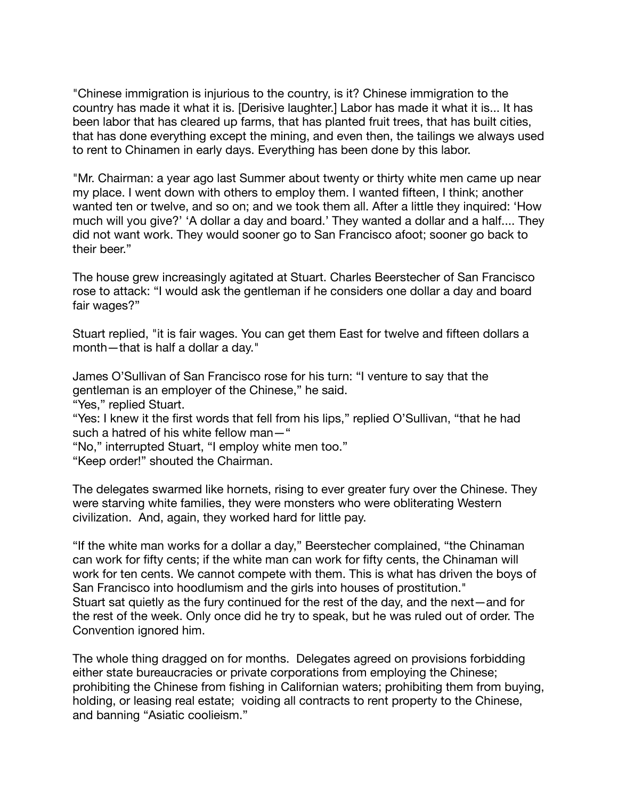"Chinese immigration is injurious to the country, is it? Chinese immigration to the country has made it what it is. [Derisive laughter.] Labor has made it what it is... It has been labor that has cleared up farms, that has planted fruit trees, that has built cities, that has done everything except the mining, and even then, the tailings we always used to rent to Chinamen in early days. Everything has been done by this labor.

"Mr. Chairman: a year ago last Summer about twenty or thirty white men came up near my place. I went down with others to employ them. I wanted fifteen, I think; another wanted ten or twelve, and so on; and we took them all. After a little they inquired: 'How much will you give?' 'A dollar a day and board.' They wanted a dollar and a half.... They did not want work. They would sooner go to San Francisco afoot; sooner go back to their beer."

The house grew increasingly agitated at Stuart. Charles Beerstecher of San Francisco rose to attack: "I would ask the gentleman if he considers one dollar a day and board fair wages?"

Stuart replied, "it is fair wages. You can get them East for twelve and fifteen dollars a month—that is half a dollar a day."

James O'Sullivan of San Francisco rose for his turn: "I venture to say that the gentleman is an employer of the Chinese," he said.

"Yes," replied Stuart.

"Yes: I knew it the first words that fell from his lips," replied O'Sullivan, "that he had such a hatred of his white fellow man—"

"No," interrupted Stuart, "I employ white men too."

"Keep order!" shouted the Chairman.

The delegates swarmed like hornets, rising to ever greater fury over the Chinese. They were starving white families, they were monsters who were obliterating Western civilization. And, again, they worked hard for little pay.

"If the white man works for a dollar a day," Beerstecher complained, "the Chinaman can work for fifty cents; if the white man can work for fifty cents, the Chinaman will work for ten cents. We cannot compete with them. This is what has driven the boys of San Francisco into hoodlumism and the girls into houses of prostitution." Stuart sat quietly as the fury continued for the rest of the day, and the next—and for the rest of the week. Only once did he try to speak, but he was ruled out of order. The Convention ignored him.

The whole thing dragged on for months. Delegates agreed on provisions forbidding either state bureaucracies or private corporations from employing the Chinese; prohibiting the Chinese from fishing in Californian waters; prohibiting them from buying, holding, or leasing real estate; voiding all contracts to rent property to the Chinese, and banning "Asiatic coolieism."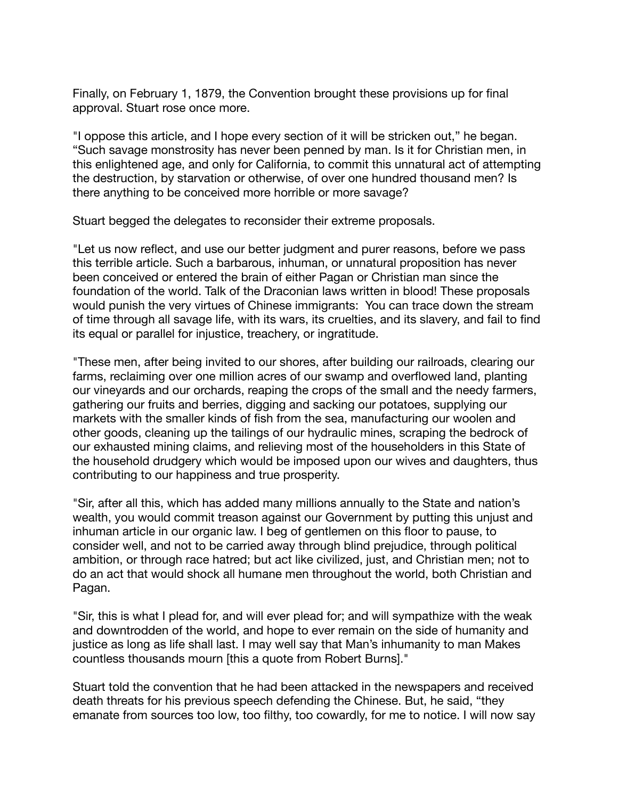Finally, on February 1, 1879, the Convention brought these provisions up for final approval. Stuart rose once more.

"I oppose this article, and I hope every section of it will be stricken out," he began. "Such savage monstrosity has never been penned by man. Is it for Christian men, in this enlightened age, and only for California, to commit this unnatural act of attempting the destruction, by starvation or otherwise, of over one hundred thousand men? Is there anything to be conceived more horrible or more savage?

Stuart begged the delegates to reconsider their extreme proposals.

"Let us now reflect, and use our better judgment and purer reasons, before we pass this terrible article. Such a barbarous, inhuman, or unnatural proposition has never been conceived or entered the brain of either Pagan or Christian man since the foundation of the world. Talk of the Draconian laws written in blood! These proposals would punish the very virtues of Chinese immigrants: You can trace down the stream of time through all savage life, with its wars, its cruelties, and its slavery, and fail to find its equal or parallel for injustice, treachery, or ingratitude.

"These men, after being invited to our shores, after building our railroads, clearing our farms, reclaiming over one million acres of our swamp and overflowed land, planting our vineyards and our orchards, reaping the crops of the small and the needy farmers, gathering our fruits and berries, digging and sacking our potatoes, supplying our markets with the smaller kinds of fish from the sea, manufacturing our woolen and other goods, cleaning up the tailings of our hydraulic mines, scraping the bedrock of our exhausted mining claims, and relieving most of the householders in this State of the household drudgery which would be imposed upon our wives and daughters, thus contributing to our happiness and true prosperity.

"Sir, after all this, which has added many millions annually to the State and nation's wealth, you would commit treason against our Government by putting this unjust and inhuman article in our organic law. I beg of gentlemen on this floor to pause, to consider well, and not to be carried away through blind prejudice, through political ambition, or through race hatred; but act like civilized, just, and Christian men; not to do an act that would shock all humane men throughout the world, both Christian and Pagan.

"Sir, this is what I plead for, and will ever plead for; and will sympathize with the weak and downtrodden of the world, and hope to ever remain on the side of humanity and justice as long as life shall last. I may well say that Man's inhumanity to man Makes countless thousands mourn [this a quote from Robert Burns]."

Stuart told the convention that he had been attacked in the newspapers and received death threats for his previous speech defending the Chinese. But, he said, "they emanate from sources too low, too filthy, too cowardly, for me to notice. I will now say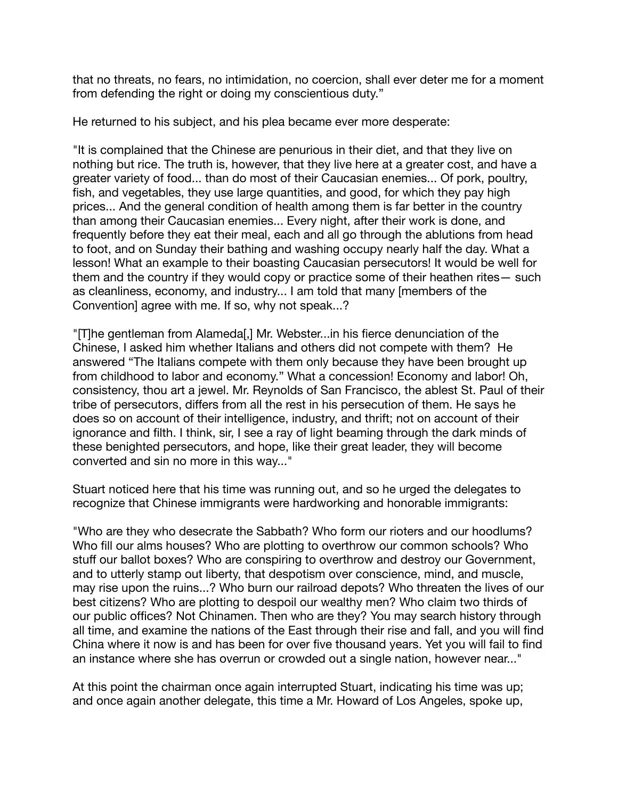that no threats, no fears, no intimidation, no coercion, shall ever deter me for a moment from defending the right or doing my conscientious duty."

He returned to his subject, and his plea became ever more desperate:

"It is complained that the Chinese are penurious in their diet, and that they live on nothing but rice. The truth is, however, that they live here at a greater cost, and have a greater variety of food... than do most of their Caucasian enemies... Of pork, poultry, fish, and vegetables, they use large quantities, and good, for which they pay high prices... And the general condition of health among them is far better in the country than among their Caucasian enemies... Every night, after their work is done, and frequently before they eat their meal, each and all go through the ablutions from head to foot, and on Sunday their bathing and washing occupy nearly half the day. What a lesson! What an example to their boasting Caucasian persecutors! It would be well for them and the country if they would copy or practice some of their heathen rites— such as cleanliness, economy, and industry... I am told that many [members of the Convention] agree with me. If so, why not speak...?

"[T]he gentleman from Alameda[,] Mr. Webster...in his fierce denunciation of the Chinese, I asked him whether Italians and others did not compete with them? He answered "The Italians compete with them only because they have been brought up from childhood to labor and economy." What a concession! Economy and labor! Oh, consistency, thou art a jewel. Mr. Reynolds of San Francisco, the ablest St. Paul of their tribe of persecutors, differs from all the rest in his persecution of them. He says he does so on account of their intelligence, industry, and thrift; not on account of their ignorance and filth. I think, sir, I see a ray of light beaming through the dark minds of these benighted persecutors, and hope, like their great leader, they will become converted and sin no more in this way..."

Stuart noticed here that his time was running out, and so he urged the delegates to recognize that Chinese immigrants were hardworking and honorable immigrants:

"Who are they who desecrate the Sabbath? Who form our rioters and our hoodlums? Who fill our alms houses? Who are plotting to overthrow our common schools? Who stuff our ballot boxes? Who are conspiring to overthrow and destroy our Government, and to utterly stamp out liberty, that despotism over conscience, mind, and muscle, may rise upon the ruins...? Who burn our railroad depots? Who threaten the lives of our best citizens? Who are plotting to despoil our wealthy men? Who claim two thirds of our public offices? Not Chinamen. Then who are they? You may search history through all time, and examine the nations of the East through their rise and fall, and you will find China where it now is and has been for over five thousand years. Yet you will fail to find an instance where she has overrun or crowded out a single nation, however near..."

At this point the chairman once again interrupted Stuart, indicating his time was up; and once again another delegate, this time a Mr. Howard of Los Angeles, spoke up,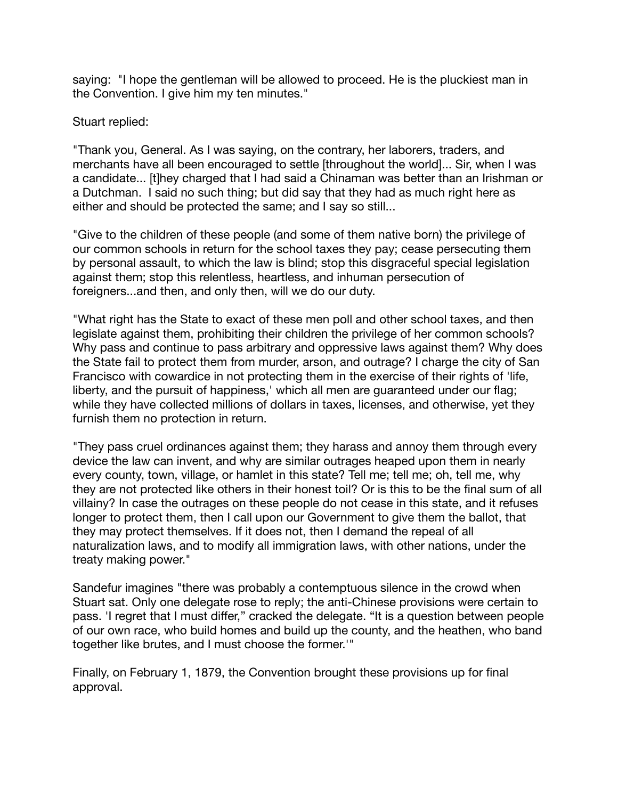saying: "I hope the gentleman will be allowed to proceed. He is the pluckiest man in the Convention. I give him my ten minutes."

Stuart replied:

"Thank you, General. As I was saying, on the contrary, her laborers, traders, and merchants have all been encouraged to settle [throughout the world]... Sir, when I was a candidate... [t]hey charged that I had said a Chinaman was better than an Irishman or a Dutchman. I said no such thing; but did say that they had as much right here as either and should be protected the same; and I say so still...

"Give to the children of these people (and some of them native born) the privilege of our common schools in return for the school taxes they pay; cease persecuting them by personal assault, to which the law is blind; stop this disgraceful special legislation against them; stop this relentless, heartless, and inhuman persecution of foreigners...and then, and only then, will we do our duty.

"What right has the State to exact of these men poll and other school taxes, and then legislate against them, prohibiting their children the privilege of her common schools? Why pass and continue to pass arbitrary and oppressive laws against them? Why does the State fail to protect them from murder, arson, and outrage? I charge the city of San Francisco with cowardice in not protecting them in the exercise of their rights of 'life, liberty, and the pursuit of happiness,' which all men are guaranteed under our flag; while they have collected millions of dollars in taxes, licenses, and otherwise, yet they furnish them no protection in return.

"They pass cruel ordinances against them; they harass and annoy them through every device the law can invent, and why are similar outrages heaped upon them in nearly every county, town, village, or hamlet in this state? Tell me; tell me; oh, tell me, why they are not protected like others in their honest toil? Or is this to be the final sum of all villainy? In case the outrages on these people do not cease in this state, and it refuses longer to protect them, then I call upon our Government to give them the ballot, that they may protect themselves. If it does not, then I demand the repeal of all naturalization laws, and to modify all immigration laws, with other nations, under the treaty making power."

Sandefur imagines "there was probably a contemptuous silence in the crowd when Stuart sat. Only one delegate rose to reply; the anti-Chinese provisions were certain to pass. 'I regret that I must differ," cracked the delegate. "It is a question between people of our own race, who build homes and build up the county, and the heathen, who band together like brutes, and I must choose the former.'"

Finally, on February 1, 1879, the Convention brought these provisions up for final approval.